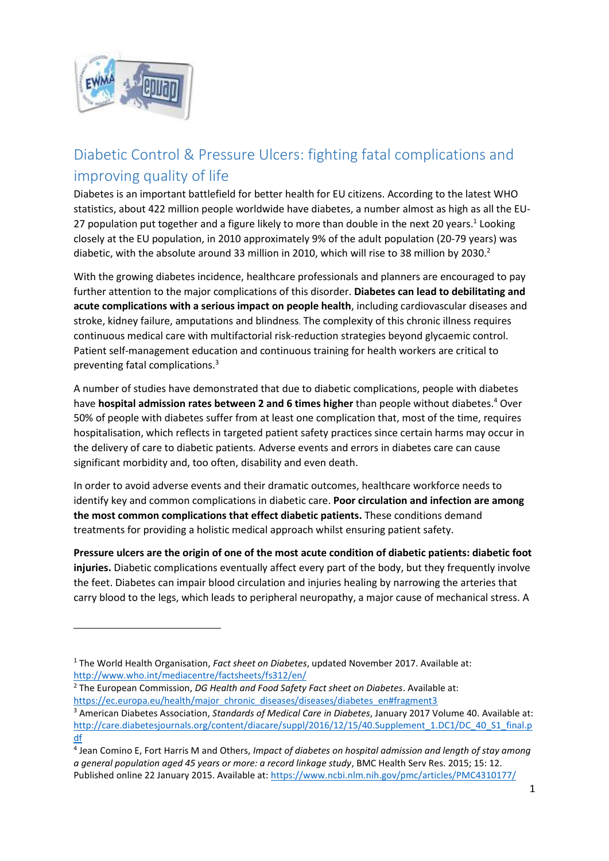

 $\overline{a}$ 

## Diabetic Control & Pressure Ulcers: fighting fatal complications and improving quality of life

Diabetes is an important battlefield for better health for EU citizens. According to the latest WHO statistics, about 422 million people worldwide have diabetes, a number almost as high as all the EU-27 population put together and a figure likely to more than double in the next 20 years.<sup>1</sup> Looking closely at the EU population, in 2010 approximately 9% of the adult population (20-79 years) was diabetic, with the absolute around 33 million in 2010, which will rise to 38 million by 2030.<sup>2</sup>

With the growing diabetes incidence, healthcare professionals and planners are encouraged to pay further attention to the major complications of this disorder. **Diabetes can lead to debilitating and acute complications with a serious impact on people health**, including cardiovascular diseases and stroke, kidney failure, amputations and blindness. The complexity of this chronic illness requires continuous medical care with multifactorial risk-reduction strategies beyond glycaemic control. Patient self-management education and continuous training for health workers are critical to preventing fatal complications.<sup>3</sup>

A number of studies have demonstrated that due to diabetic complications, people with diabetes have **hospital admission rates between 2 and 6 times higher** than people without diabetes.<sup>4</sup> Over 50% of people with diabetes suffer from at least one complication that, most of the time, requires hospitalisation, which reflects in targeted patient safety practices since certain harms may occur in the delivery of care to diabetic patients. Adverse events and errors in diabetes care can cause significant morbidity and, too often, disability and even death.

In order to avoid adverse events and their dramatic outcomes, healthcare workforce needs to identify key and common complications in diabetic care. **Poor circulation and infection are among the most common complications that effect diabetic patients.** These conditions demand treatments for providing a holistic medical approach whilst ensuring patient safety.

**Pressure ulcers are the origin of one of the most acute condition of diabetic patients: diabetic foot injuries.** Diabetic complications eventually affect every part of the body, but they frequently involve the feet. Diabetes can impair blood circulation and injuries healing by narrowing the arteries that carry blood to the legs, which leads to peripheral neuropathy, a major cause of mechanical stress. A

<sup>1</sup> The World Health Organisation, *Fact sheet on Diabetes*, updated November 2017. Available at: <http://www.who.int/mediacentre/factsheets/fs312/en/>

<sup>2</sup> The European Commission, *DG Health and Food Safety Fact sheet on Diabetes*. Available at: [https://ec.europa.eu/health/major\\_chronic\\_diseases/diseases/diabetes\\_en#fragment3](https://ec.europa.eu/health/major_chronic_diseases/diseases/diabetes_en#fragment3)

<sup>3</sup> American Diabetes Association, *Standards of Medical Care in Diabetes*, January 2017 Volume 40. Available at: [http://care.diabetesjournals.org/content/diacare/suppl/2016/12/15/40.Supplement\\_1.DC1/DC\\_40\\_S1\\_final.p](http://care.diabetesjournals.org/content/diacare/suppl/2016/12/15/40.Supplement_1.DC1/DC_40_S1_final.pdf) [df](http://care.diabetesjournals.org/content/diacare/suppl/2016/12/15/40.Supplement_1.DC1/DC_40_S1_final.pdf)

<sup>4</sup> Jean Comino E, Fort Harris M and Others, *Impact of diabetes on hospital admission and length of stay among a general population aged 45 years or more: a record linkage study*, BMC Health Serv Res. 2015; 15: 12. Published online 22 January 2015. Available at:<https://www.ncbi.nlm.nih.gov/pmc/articles/PMC4310177/>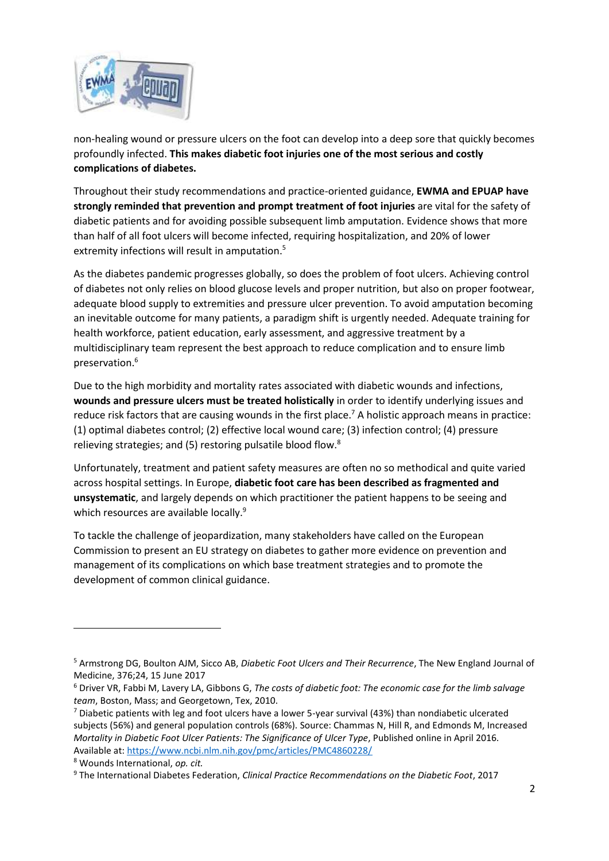

non-healing wound or pressure ulcers on the foot can develop into a deep sore that quickly becomes profoundly infected. **This makes diabetic foot injuries one of the most serious and costly complications of diabetes.**

Throughout their study recommendations and practice-oriented guidance, **EWMA and EPUAP have strongly reminded that prevention and prompt treatment of foot injuries** are vital for the safety of diabetic patients and for avoiding possible subsequent limb amputation. Evidence shows that more than half of all foot ulcers will become infected, requiring hospitalization, and 20% of lower extremity infections will result in amputation. 5

As the diabetes pandemic progresses globally, so does the problem of foot ulcers. Achieving control of diabetes not only relies on blood glucose levels and proper nutrition, but also on proper footwear, adequate blood supply to extremities and pressure ulcer prevention. To avoid amputation becoming an inevitable outcome for many patients, a paradigm shift is urgently needed. Adequate training for health workforce, patient education, early assessment, and aggressive treatment by a multidisciplinary team represent the best approach to reduce complication and to ensure limb preservation.<sup>6</sup>

Due to the high morbidity and mortality rates associated with diabetic wounds and infections, **wounds and pressure ulcers must be treated holistically** in order to identify underlying issues and reduce risk factors that are causing wounds in the first place.<sup>7</sup> A holistic approach means in practice: (1) optimal diabetes control; (2) effective local wound care; (3) infection control; (4) pressure relieving strategies; and (5) restoring pulsatile blood flow.<sup>8</sup>

Unfortunately, treatment and patient safety measures are often no so methodical and quite varied across hospital settings. In Europe, **diabetic foot care has been described as fragmented and unsystematic**, and largely depends on which practitioner the patient happens to be seeing and which resources are available locally.<sup>9</sup>

To tackle the challenge of jeopardization, many stakeholders have called on the European Commission to present an EU strategy on diabetes to gather more evidence on prevention and management of its complications on which base treatment strategies and to promote the development of common clinical guidance.

 $\overline{a}$ 

<sup>5</sup> Armstrong DG, Boulton AJM, Sicco AB, *Diabetic Foot Ulcers and Their Recurrence*, The New England Journal of Medicine, 376;24, 15 June 2017

<sup>6</sup> Driver VR, Fabbi M, Lavery LA, Gibbons G, *The costs of diabetic foot: The economic case for the limb salvage team*, Boston, Mass; and Georgetown, Tex, 2010.

 $7$  Diabetic patients with leg and foot ulcers have a lower 5-year survival (43%) than nondiabetic ulcerated subjects (56%) and general population controls (68%). Source: Chammas N, Hill R, and Edmonds M, Increased *Mortality in Diabetic Foot Ulcer Patients: The Significance of Ulcer Type*, Published online in April 2016. Available at:<https://www.ncbi.nlm.nih.gov/pmc/articles/PMC4860228/>

<sup>8</sup> Wounds International, *op. cit.* 

<sup>9</sup> The International Diabetes Federation, *Clinical Practice Recommendations on the Diabetic Foot*, 2017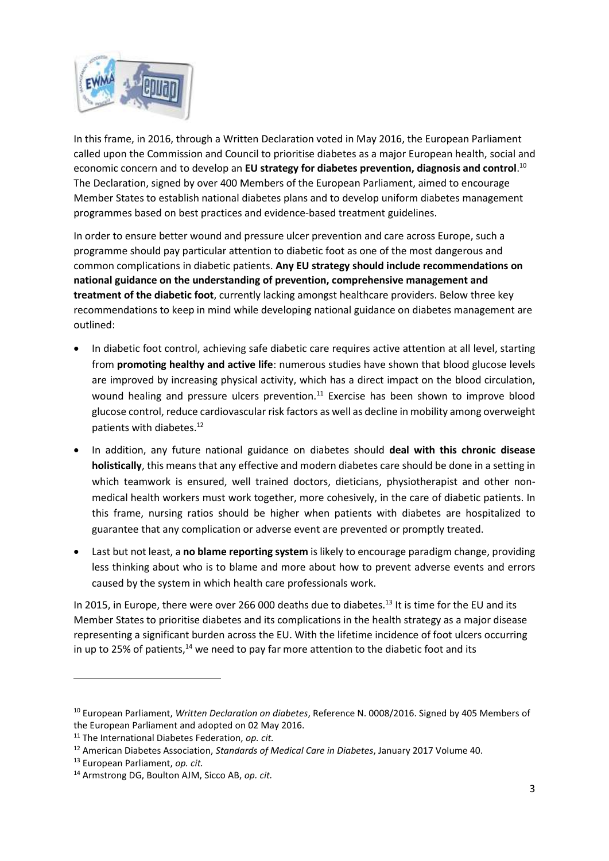

In this frame, in 2016, through a Written Declaration voted in May 2016, the European Parliament called upon the Commission and Council to prioritise diabetes as a major European health, social and economic concern and to develop an **EU strategy for diabetes prevention, diagnosis and control**. 10 The Declaration, signed by over 400 Members of the European Parliament, aimed to encourage Member States to establish national diabetes plans and to develop uniform diabetes management programmes based on best practices and evidence-based treatment guidelines.

In order to ensure better wound and pressure ulcer prevention and care across Europe, such a programme should pay particular attention to diabetic foot as one of the most dangerous and common complications in diabetic patients. **Any EU strategy should include recommendations on national guidance on the understanding of prevention, comprehensive management and treatment of the diabetic foot**, currently lacking amongst healthcare providers. Below three key recommendations to keep in mind while developing national guidance on diabetes management are outlined:

- In diabetic foot control, achieving safe diabetic care requires active attention at all level, starting from **promoting healthy and active life**: numerous studies have shown that blood glucose levels are improved by increasing physical activity, which has a direct impact on the blood circulation, wound healing and pressure ulcers prevention.<sup>11</sup> Exercise has been shown to improve blood glucose control, reduce cardiovascular risk factors as well as decline in mobility among overweight patients with diabetes. 12
- In addition, any future national guidance on diabetes should **deal with this chronic disease holistically**, this means that any effective and modern diabetes care should be done in a setting in which teamwork is ensured, well trained doctors, dieticians, physiotherapist and other nonmedical health workers must work together, more cohesively, in the care of diabetic patients. In this frame, nursing ratios should be higher when patients with diabetes are hospitalized to guarantee that any complication or adverse event are prevented or promptly treated.
- Last but not least, a **no blame reporting system** is likely to encourage paradigm change, providing less thinking about who is to blame and more about how to prevent adverse events and errors caused by the system in which health care professionals work.

In 2015, in Europe, there were over 266 000 deaths due to diabetes.<sup>13</sup> It is time for the EU and its Member States to prioritise diabetes and its complications in the health strategy as a major disease representing a significant burden across the EU. With the lifetime incidence of foot ulcers occurring in up to 25% of patients, $14$  we need to pay far more attention to the diabetic foot and its

**.** 

<sup>10</sup> European Parliament, *Written Declaration on diabetes*, Reference N. 0008/2016. Signed by 405 Members of the European Parliament and adopted on 02 May 2016.

<sup>11</sup> The International Diabetes Federation, *op. cit.* 

<sup>12</sup> American Diabetes Association, *Standards of Medical Care in Diabetes*, January 2017 Volume 40.

<sup>13</sup> European Parliament, *op. cit.*

<sup>14</sup> Armstrong DG, Boulton AJM, Sicco AB, *op. cit.*